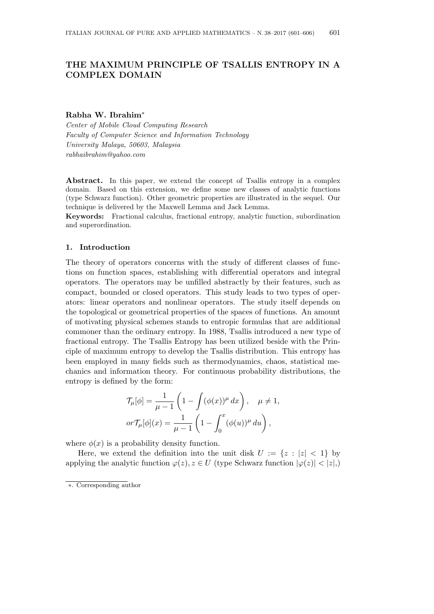# **THE MAXIMUM PRINCIPLE OF TSALLIS ENTROPY IN A COMPLEX DOMAIN**

## **Rabha W. Ibrahim***∗*

*Center of Mobile Cloud Computing Research Faculty of Computer Science and Information Technology University Malaya, 50603, Malaysia rabhaibrahim@yahoo.com*

Abstract. In this paper, we extend the concept of Tsallis entropy in a complex domain. Based on this extension, we define some new classes of analytic functions (type Schwarz function). Other geometric properties are illustrated in the sequel. Our technique is delivered by the Maxwell Lemma and Jack Lemma.

**Keywords:** Fractional calculus, fractional entropy, analytic function, subordination and superordination.

## **1. Introduction**

The theory of operators concerns with the study of different classes of functions on function spaces, establishing with differential operators and integral operators. The operators may be unfilled abstractly by their features, such as compact, bounded or closed operators. This study leads to two types of operators: linear operators and nonlinear operators. The study itself depends on the topological or geometrical properties of the spaces of functions. An amount of motivating physical schemes stands to entropic formulas that are additional commoner than the ordinary entropy. In 1988, Tsallis introduced a new type of fractional entropy. The Tsallis Entropy has been utilized beside with the Principle of maximum entropy to develop the Tsallis distribution. This entropy has been employed in many fields such as thermodynamics, chaos, statistical mechanics and information theory. For continuous probability distributions, the entropy is defined by the form:

$$
\mathcal{T}_{\mu}[\phi] = \frac{1}{\mu - 1} \left( 1 - \int (\phi(x))^{\mu} dx \right), \quad \mu \neq 1,
$$
  

$$
or \mathcal{T}_{\mu}[\phi](x) = \frac{1}{\mu - 1} \left( 1 - \int_0^x (\phi(u))^{\mu} du \right),
$$

where  $\phi(x)$  is a probability density function.

Here, we extend the definition into the unit disk  $U := \{z : |z| < 1\}$  by applying the analytic function  $\varphi(z)$ ,  $z \in U$  (type Schwarz function  $|\varphi(z)| < |z|$ ,)

*<sup>∗</sup>*. Corresponding author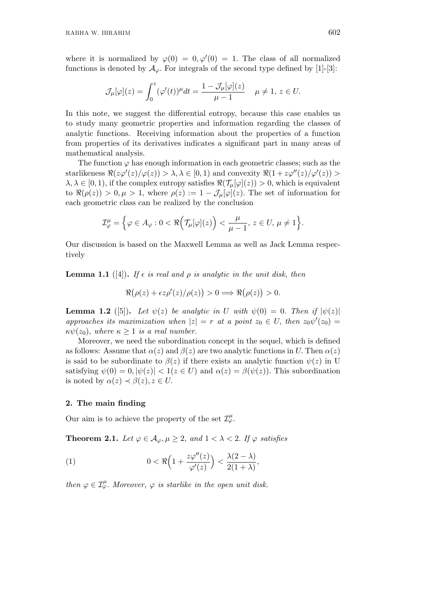where it is normalized by  $\varphi(0) = 0, \varphi'(0) = 1$ . The class of all normalized functions is denoted by  $A_{\varphi}$ . For integrals of the second type defined by [1]-[3]:

$$
\mathcal{J}_{\mu}[\varphi](z) = \int_0^z (\varphi'(t))^{\mu} dt = \frac{1 - \mathcal{J}_{\mu}[\varphi](z)}{\mu - 1} \quad \mu \neq 1, \, z \in U.
$$

In this note, we suggest the differential entropy, because this case enables us to study many geometric properties and information regarding the classes of analytic functions. Receiving information about the properties of a function from properties of its derivatives indicates a significant part in many areas of mathematical analysis.

The function  $\varphi$  has enough information in each geometric classes; such as the  $\text{star}$ likeness  $\Re(z\varphi'(z)/\varphi(z)) > \lambda, \lambda \in [0,1)$  and convexity  $\Re(1 + z\varphi''(z)/\varphi'(z)) >$  $\lambda, \lambda \in [0, 1)$ , if the complex entropy satisfies  $\Re(\mathcal{T}_{\mu}[\varphi](z)) > 0$ , which is equivalent to  $\Re(\rho(z)) > 0, \mu > 1$ , where  $\rho(z) := 1 - \mathcal{J}_{\mu}[\varphi](z)$ . The set of information for each geometric class can be realized by the conclusion

$$
\mathcal{I}^{\mu}_{\varphi} = \Big\{ \varphi \in A_{\varphi} : 0 < \Re\Big( \mathcal{T}_{\mu}[\varphi](z) \Big) < \frac{\mu}{\mu - 1}, \, z \in U, \, \mu \neq 1 \Big\}.
$$

Our discussion is based on the Maxwell Lemma as well as Jack Lemma respectively

**Lemma 1.1** ([4]). If  $\epsilon$  *is real and*  $\rho$  *is analytic in the unit disk, then* 

$$
\Re(\rho(z) + \epsilon z \rho'(z)/\rho(z)) > 0 \Longrightarrow \Re(\rho(z)) > 0.
$$

**Lemma 1.2** ([5]). Let  $\psi(z)$  be analytic in U with  $\psi(0) = 0$ . Then if  $|\psi(z)|$ *approaches its maximization when*  $|z| = r$  *at a point*  $z_0 \in U$ , *then*  $z_0 \psi'(z_0) =$  $\kappa \psi(z_0)$ *, where*  $\kappa \geq 1$  *is a real number.* 

Moreover, we need the subordination concept in the sequel, which is defined as follows: Assume that  $\alpha(z)$  and  $\beta(z)$  are two analytic functions in *U*. Then  $\alpha(z)$ is said to be subordinate to  $\beta(z)$  if there exists an analytic function  $\psi(z)$  in U satisfying  $\psi(0) = 0$ ,  $|\psi(z)| < 1(z \in U)$  and  $\alpha(z) = \beta(\psi(z))$ . This subordination is noted by  $\alpha(z) \prec \beta(z), z \in U$ .

# **2. The main finding**

Our aim is to achieve the property of the set  $\mathcal{I}_{\varphi}^{\mu}$ .

**Theorem 2.1.** *Let*  $\varphi \in A_{\varphi}, \mu \geq 2$ , and  $1 < \lambda < 2$ . If  $\varphi$  satisfies

(1) 
$$
0 < \Re\left(1 + \frac{z\varphi''(z)}{\varphi'(z)}\right) < \frac{\lambda(2-\lambda)}{2(1+\lambda)},
$$

*then*  $\varphi \in \mathcal{I}_{\varphi}^{\mu}$ *. Moreover,*  $\varphi$  *is starlike in the open unit disk.*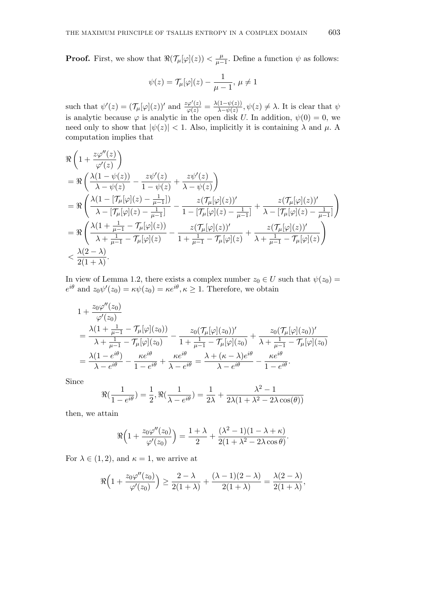**Proof.** First, we show that  $\Re(\mathcal{T}_\mu[\varphi](z)) < \frac{\mu}{\mu - \mu}$  $\frac{\mu}{\mu-1}$ . Define a function  $\psi$  as follows:

$$
\psi(z)=\mathcal{T}_{\mu}[\varphi](z)-\frac{1}{\mu-1},\,\mu\neq 1
$$

such that  $\psi'(z) = (\mathcal{T}_{\mu}[\varphi](z))'$  and  $\frac{z\varphi'(z)}{\varphi(z)} = \frac{\lambda(1-\psi(z))}{\lambda-\psi(z)}$  $\lambda - \psi(z)$ ,  $\psi(z) \neq \lambda$ . It is clear that  $\psi$ is analytic because  $\varphi$  is analytic in the open disk *U*. In addition,  $\psi(0) = 0$ , we need only to show that  $|\psi(z)| < 1$ . Also, implicitly it is containing  $\lambda$  and  $\mu$ . A computation implies that

$$
\begin{split} &\Re\left(1+\frac{z\varphi''(z)}{\varphi'(z)}\right)\\ &=\Re\left(\frac{\lambda(1-\psi(z))}{\lambda-\psi(z)}-\frac{z\psi'(z)}{1-\psi(z)}+\frac{z\psi'(z)}{\lambda-\psi(z)}\right)\\ &=\Re\left(\frac{\lambda(1-[\mathcal{T}_{\mu}[\varphi](z)-\frac{1}{\mu-1}])}{\lambda-[\mathcal{T}_{\mu}[\varphi](z)-\frac{1}{\mu-1}]}-\frac{z(\mathcal{T}_{\mu}[\varphi](z))'}{1-[\mathcal{T}_{\mu}[\varphi](z)-\frac{1}{\mu-1}]}+\frac{z(\mathcal{T}_{\mu}[\varphi](z))'}{\lambda-[\mathcal{T}_{\mu}[\varphi](z)-\frac{1}{\mu-1}]}\right)\\ &=\Re\left(\frac{\lambda(1+\frac{1}{\mu-1}-\mathcal{T}_{\mu}[\varphi](z))}{\lambda+\frac{1}{\mu-1}-\mathcal{T}_{\mu}[\varphi](z)}-\frac{z(\mathcal{T}_{\mu}[\varphi](z))'}{1+\frac{1}{\mu-1}-\mathcal{T}_{\mu}[\varphi](z)}+\frac{z(\mathcal{T}_{\mu}[\varphi](z))'}{\lambda+\frac{1}{\mu-1}-\mathcal{T}_{\mu}[\varphi](z)}\right)\\ <\frac{\lambda(2-\lambda)}{2(1+\lambda)}. \end{split}
$$

In view of Lemma 1.2, there exists a complex number  $z_0 \in U$  such that  $\psi(z_0) =$  $e^{i\theta}$  and  $z_0\psi'(z_0) = \kappa\psi(z_0) = \kappa e^{i\theta}, \kappa \ge 1$ . Therefore, we obtain

$$
1 + \frac{z_0 \varphi''(z_0)}{\varphi'(z_0)}
$$
  
=  $\frac{\lambda (1 + \frac{1}{\mu - 1} - \mathcal{T}_{\mu}[\varphi](z_0))}{\lambda + \frac{1}{\mu - 1} - \mathcal{T}_{\mu}[\varphi](z_0)} - \frac{z_0(\mathcal{T}_{\mu}[\varphi](z_0))'}{1 + \frac{1}{\mu - 1} - \mathcal{T}_{\mu}[\varphi](z_0)} + \frac{z_0(\mathcal{T}_{\mu}[\varphi](z_0))'}{\lambda + \frac{1}{\mu - 1} - \mathcal{T}_{\mu}[\varphi](z_0)}$   
=  $\frac{\lambda (1 - e^{i\theta})}{\lambda - e^{i\theta}} - \frac{\kappa e^{i\theta}}{1 - e^{i\theta}} + \frac{\kappa e^{i\theta}}{\lambda - e^{i\theta}} = \frac{\lambda + (\kappa - \lambda)e^{i\theta}}{\lambda - e^{i\theta}} - \frac{\kappa e^{i\theta}}{1 - e^{i\theta}}.$ 

Since

 $\overline{\phantom{a}}$ 

$$
\Re\left(\frac{1}{1-e^{i\theta}}\right) = \frac{1}{2}, \Re\left(\frac{1}{\lambda - e^{i\theta}}\right) = \frac{1}{2\lambda} + \frac{\lambda^2 - 1}{2\lambda(1 + \lambda^2 - 2\lambda\cos(\theta))}
$$

then, we attain

$$
\Re\Big(1+\frac{z_0\varphi''(z_0)}{\varphi'(z_0)}\Big)=\frac{1+\lambda}{2}+\frac{(\lambda^2-1)(1-\lambda+\kappa)}{2(1+\lambda^2-2\lambda\cos\theta)}.
$$

For  $\lambda \in (1, 2)$ , and  $\kappa = 1$ , we arrive at

$$
\Re\Big(1+\frac{z_0\varphi''(z_0)}{\varphi'(z_0)}\Big)\geq \frac{2-\lambda}{2(1+\lambda)}+\frac{(\lambda-1)(2-\lambda)}{2(1+\lambda)}=\frac{\lambda(2-\lambda)}{2(1+\lambda)},
$$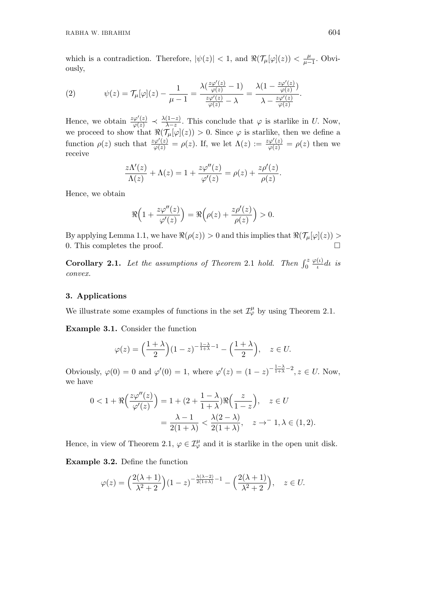which is a contradiction. Therefore,  $|\psi(z)| < 1$ , and  $\Re(\mathcal{T}_{\mu}[\varphi](z)) < \frac{\mu}{\mu - 1}$ *µ−*1 *.* Obviously,

(2) 
$$
\psi(z) = \mathcal{T}_{\mu}[\varphi](z) - \frac{1}{\mu - 1} = \frac{\lambda(\frac{z\varphi'(z)}{\varphi(z)} - 1)}{\frac{z\varphi'(z)}{\varphi(z)} - \lambda} = \frac{\lambda(1 - \frac{z\varphi'(z)}{\varphi(z)})}{\lambda - \frac{z\varphi'(z)}{\varphi(z)}}.
$$

Hence, we obtain  $\frac{z\varphi'(z)}{\varphi(z)} \prec \frac{\lambda(1-z)}{\lambda-z}$  $\frac{\lambda - z}{\lambda - z}$ . This conclude that *φ* is starlike in *U*. Now, we proceed to show that  $\Re(\mathcal{T}_{\mu}[\varphi](z)) > 0$ . Since  $\varphi$  is starlike, then we define a function  $\rho(z)$  such that  $\frac{z\varphi'(z)}{\varphi(z)} = \rho(z)$ . If, we let  $\Lambda(z) := \frac{z\varphi'(z)}{\varphi(z)} = \rho(z)$  then we receive

$$
\frac{z\Lambda'(z)}{\Lambda(z)} + \Lambda(z) = 1 + \frac{z\varphi''(z)}{\varphi'(z)} = \rho(z) + \frac{z\rho'(z)}{\rho(z)}.
$$

Hence, we obtain

$$
\Re\Big(1+\frac{z\varphi''(z)}{\varphi'(z)}\Big)=\Re\Big(\rho(z)+\frac{z\rho'(z)}{\rho(z)}\Big)>0.
$$

By applying Lemma 1.1, we have  $\Re(\rho(z)) > 0$  and this implies that  $\Re(\mathcal{T}_{\mu}[\varphi](z)) > 0$ 0*.* This completes the proof.

**Corollary 2.1.** *Let the assumptions of Theorem 2.1 hold. Then*  $\int_0^2$ *φ*(*ι*) *ι dι is convex.*

# **3. Applications**

We illustrate some examples of functions in the set  $\mathcal{I}_{\varphi}^{\mu}$  by using Theorem 2.1.

**Example 3.1.** Consider the function

$$
\varphi(z) = \left(\frac{1+\lambda}{2}\right)(1-z)^{-\frac{1-\lambda}{1+\lambda}-1} - \left(\frac{1+\lambda}{2}\right), \quad z \in U.
$$

Obviously,  $\varphi(0) = 0$  and  $\varphi'(0) = 1$ , where  $\varphi'(z) = (1 - z)^{-\frac{1 - \lambda}{1 + \lambda} - 2}$ ,  $z \in U$ . Now, we have

$$
0 < 1 + \Re\left(\frac{z\varphi''(z)}{\varphi'(z)}\right) = 1 + (2 + \frac{1-\lambda}{1+\lambda})\Re\left(\frac{z}{1-z}\right), \quad z \in U
$$
\n
$$
= \frac{\lambda - 1}{2(1+\lambda)} < \frac{\lambda(2-\lambda)}{2(1+\lambda)}, \quad z \to^{-} 1, \lambda \in (1, 2).
$$

Hence, in view of Theorem 2.1,  $\varphi \in \mathcal{I}_{\varphi}^{\mu}$  and it is starlike in the open unit disk.

**Example 3.2.** Define the function

$$
\varphi(z) = \left(\frac{2(\lambda+1)}{\lambda^2+2}\right)(1-z)^{-\frac{\lambda(\lambda-2)}{2(1+\lambda)}-1} - \left(\frac{2(\lambda+1)}{\lambda^2+2}\right), \quad z \in U.
$$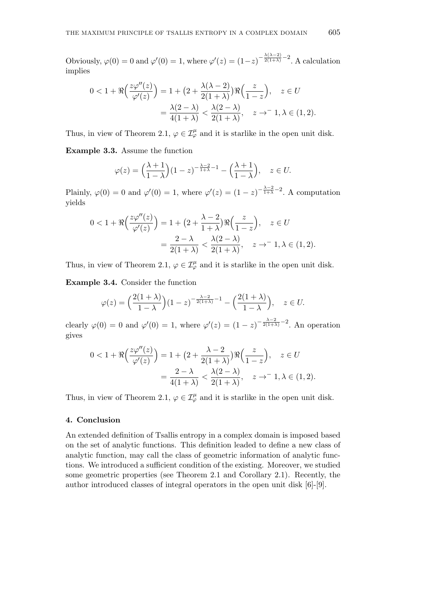Obviously,  $\varphi(0) = 0$  and  $\varphi'(0) = 1$ , where  $\varphi'(z) = (1-z)^{-\frac{\lambda(\lambda-2)}{2(1+\lambda)}-2}$ . A calculation implies

$$
0 < 1 + \Re\left(\frac{z\varphi''(z)}{\varphi'(z)}\right) = 1 + \left(2 + \frac{\lambda(\lambda - 2)}{2(1 + \lambda)}\right)\Re\left(\frac{z}{1 - z}\right), \quad z \in U
$$
\n
$$
= \frac{\lambda(2 - \lambda)}{4(1 + \lambda)} < \frac{\lambda(2 - \lambda)}{2(1 + \lambda)}, \quad z \to -1, \lambda \in (1, 2).
$$

Thus, in view of Theorem 2.1,  $\varphi \in \mathcal{I}_{\varphi}^{\mu}$  and it is starlike in the open unit disk.

**Example 3.3.** Assume the function

$$
\varphi(z) = \left(\frac{\lambda + 1}{1 - \lambda}\right)(1 - z)^{-\frac{\lambda - 2}{1 + \lambda} - 1} - \left(\frac{\lambda + 1}{1 - \lambda}\right), \quad z \in U.
$$

Plainly,  $\varphi(0) = 0$  and  $\varphi'(0) = 1$ , where  $\varphi'(z) = (1 - z)^{-\frac{\lambda - 2}{1 + \lambda} - 2}$ . A computation yields

$$
0 < 1 + \Re\left(\frac{z\varphi''(z)}{\varphi'(z)}\right) = 1 + \left(2 + \frac{\lambda - 2}{1 + \lambda}\right)\Re\left(\frac{z}{1 - z}\right), \quad z \in U
$$
\n
$$
= \frac{2 - \lambda}{2(1 + \lambda)} < \frac{\lambda(2 - \lambda)}{2(1 + \lambda)}, \quad z \to -1, \lambda \in (1, 2).
$$

Thus, in view of Theorem 2.1,  $\varphi \in \mathcal{I}_{\varphi}^{\mu}$  and it is starlike in the open unit disk.

**Example 3.4.** Consider the function

$$
\varphi(z) = \left(\frac{2(1+\lambda)}{1-\lambda}\right)(1-z)^{-\frac{\lambda-2}{2(1+\lambda)}-1} - \left(\frac{2(1+\lambda)}{1-\lambda}\right), \quad z \in U.
$$

clearly  $\varphi(0) = 0$  and  $\varphi'(0) = 1$ , where  $\varphi'(z) = (1 - z)^{-\frac{\lambda - 2}{2(1 + \lambda)} - 2}$ . An operation gives

$$
0 < 1 + \Re\left(\frac{z\varphi''(z)}{\varphi'(z)}\right) = 1 + \left(2 + \frac{\lambda - 2}{2(1 + \lambda)}\right)\Re\left(\frac{z}{1 - z}\right), \quad z \in U
$$
\n
$$
= \frac{2 - \lambda}{4(1 + \lambda)} < \frac{\lambda(2 - \lambda)}{2(1 + \lambda)}, \quad z \to -1, \lambda \in (1, 2).
$$

Thus, in view of Theorem 2.1,  $\varphi \in \mathcal{I}_{\varphi}^{\mu}$  and it is starlike in the open unit disk.

# **4. Conclusion**

An extended definition of Tsallis entropy in a complex domain is imposed based on the set of analytic functions. This definition leaded to define a new class of analytic function, may call the class of geometric information of analytic functions. We introduced a sufficient condition of the existing. Moreover, we studied some geometric properties (see Theorem 2.1 and Corollary 2.1). Recently, the author introduced classes of integral operators in the open unit disk [6]-[9].